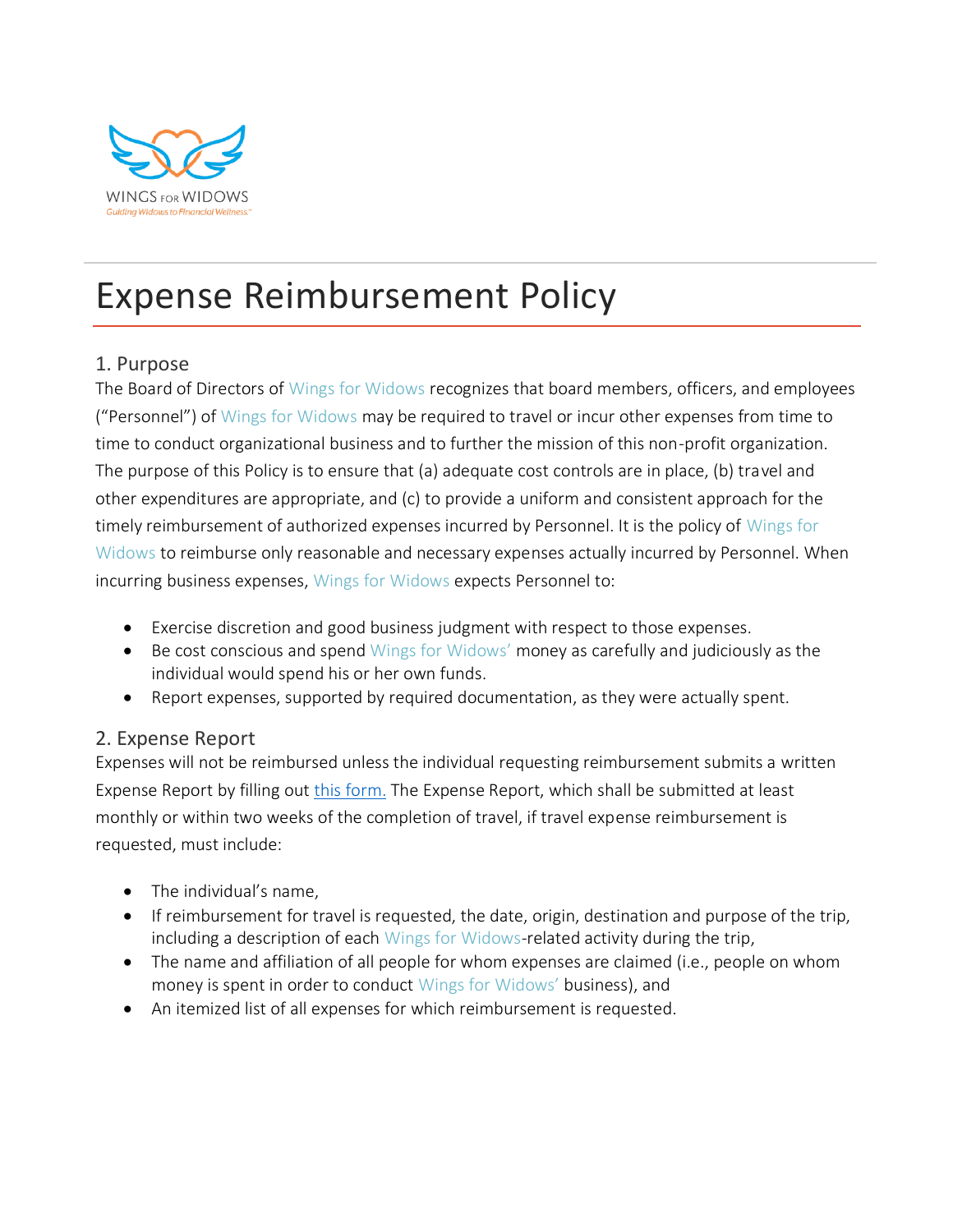

# Expense Reimbursement Policy

#### 1. Purpose

The Board of Directors of Wings for Widows recognizes that board members, officers, and employees ("Personnel") of Wings for Widows may be required to travel or incur other expenses from time to time to conduct organizational business and to further the mission of this non-profit organization. The purpose of this Policy is to ensure that (a) adequate cost controls are in place, (b) travel and other expenditures are appropriate, and (c) to provide a uniform and consistent approach for the timely reimbursement of authorized expenses incurred by Personnel. It is the policy of Wings for Widows to reimburse only reasonable and necessary expenses actually incurred by Personnel. When incurring business expenses, Wings for Widows expects Personnel to:

- Exercise discretion and good business judgment with respect to those expenses.
- Be cost conscious and spend Wings for Widows' money as carefully and judiciously as the individual would spend his or her own funds.
- Report expenses, supported by required documentation, as they were actually spent.

#### 2. Expense Report

Expenses will not be reimbursed unless the individual requesting reimbursement submits a written Expense Report by filling out [this form.](https://wingsforwidows.org/download/expense-reimbursement-form/) The Expense Report, which shall be submitted at least monthly or within two weeks of the completion of travel, if travel expense reimbursement is requested, must include:

- The individual's name,
- If reimbursement for travel is requested, the date, origin, destination and purpose of the trip, including a description of each Wings for Widows-related activity during the trip,
- The name and affiliation of all people for whom expenses are claimed (i.e., people on whom money is spent in order to conduct Wings for Widows' business), and
- An itemized list of all expenses for which reimbursement is requested.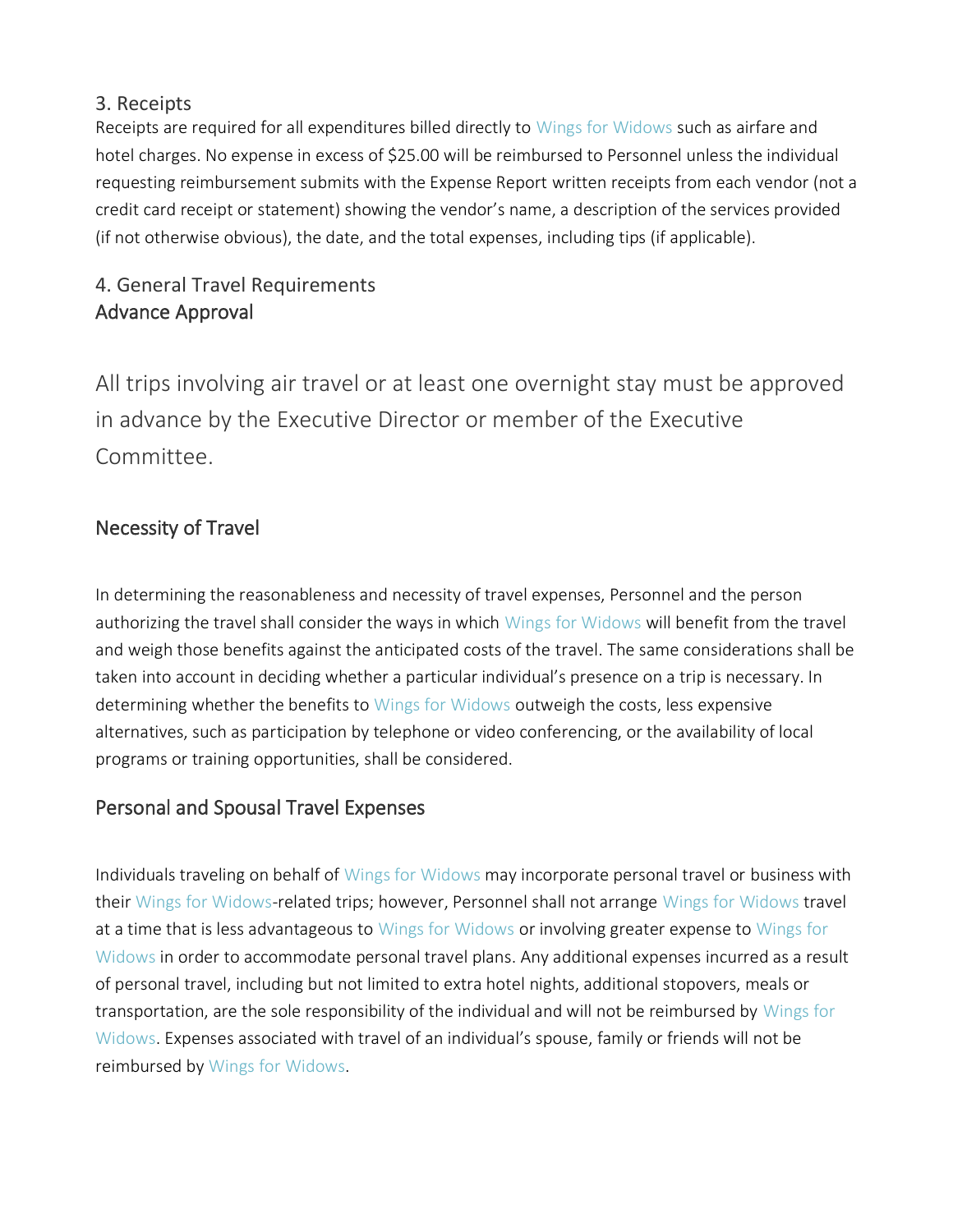#### 3. Receipts

Receipts are required for all expenditures billed directly to Wings for Widows such as airfare and hotel charges. No expense in excess of \$25.00 will be reimbursed to Personnel unless the individual requesting reimbursement submits with the Expense Report written receipts from each vendor (not a credit card receipt or statement) showing the vendor's name, a description of the services provided (if not otherwise obvious), the date, and the total expenses, including tips (if applicable).

# 4. General Travel Requirements Advance Approval

All trips involving air travel or at least one overnight stay must be approved in advance by the Executive Director or member of the Executive Committee.

## Necessity of Travel

In determining the reasonableness and necessity of travel expenses, Personnel and the person authorizing the travel shall consider the ways in which Wings for Widows will benefit from the travel and weigh those benefits against the anticipated costs of the travel. The same considerations shall be taken into account in deciding whether a particular individual's presence on a trip is necessary. In determining whether the benefits to Wings for Widows outweigh the costs, less expensive alternatives, such as participation by telephone or video conferencing, or the availability of local programs or training opportunities, shall be considered.

## Personal and Spousal Travel Expenses

Individuals traveling on behalf of Wings for Widows may incorporate personal travel or business with their Wings for Widows-related trips; however, Personnel shall not arrange Wings for Widows travel at a time that is less advantageous to Wings for Widows or involving greater expense to Wings for Widows in order to accommodate personal travel plans. Any additional expenses incurred as a result of personal travel, including but not limited to extra hotel nights, additional stopovers, meals or transportation, are the sole responsibility of the individual and will not be reimbursed by Wings for Widows. Expenses associated with travel of an individual's spouse, family or friends will not be reimbursed by Wings for Widows.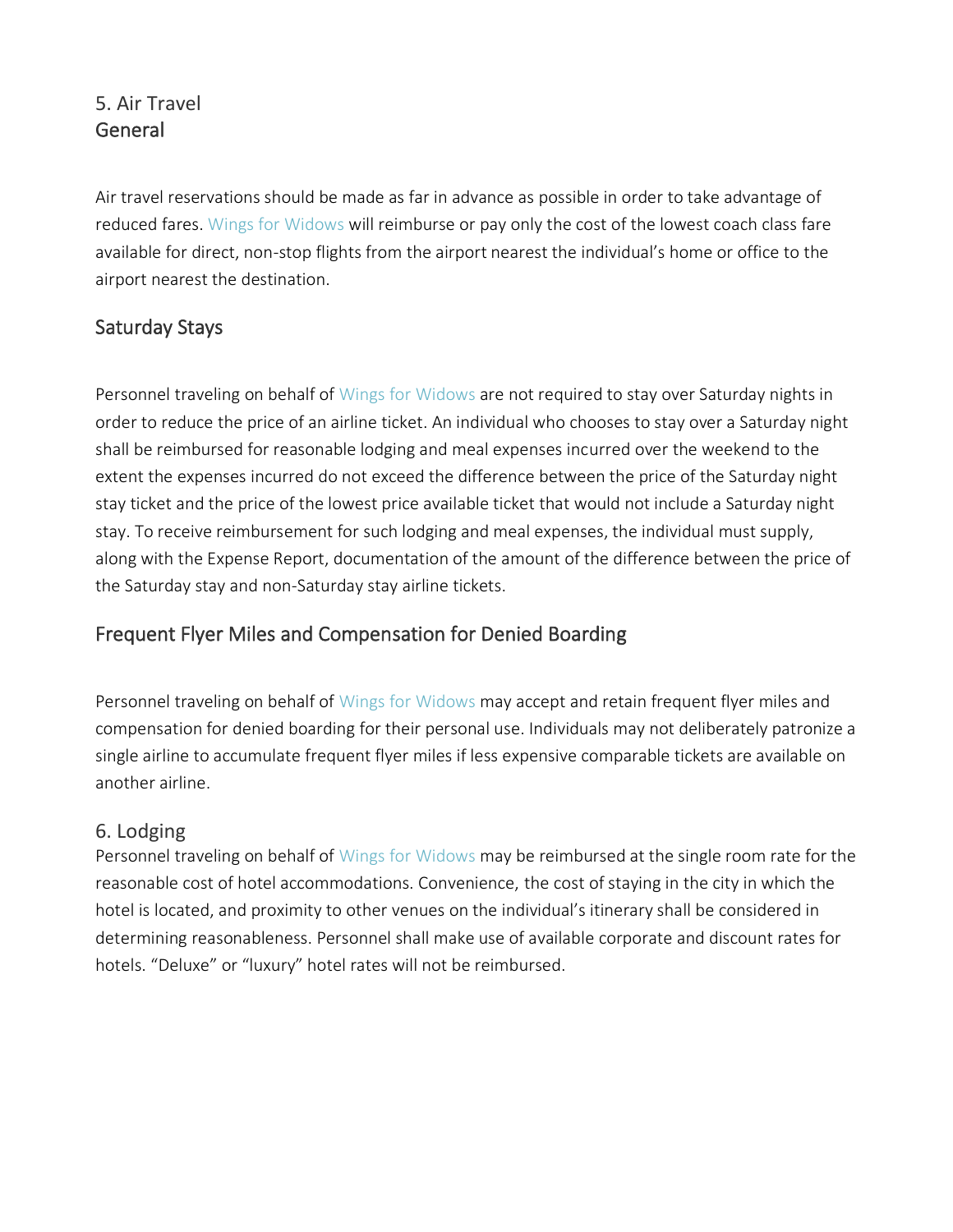## 5. Air Travel **General**

Air travel reservations should be made as far in advance as possible in order to take advantage of reduced fares. Wings for Widows will reimburse or pay only the cost of the lowest coach class fare available for direct, non-stop flights from the airport nearest the individual's home or office to the airport nearest the destination.

## Saturday Stays

Personnel traveling on behalf of Wings for Widows are not required to stay over Saturday nights in order to reduce the price of an airline ticket. An individual who chooses to stay over a Saturday night shall be reimbursed for reasonable lodging and meal expenses incurred over the weekend to the extent the expenses incurred do not exceed the difference between the price of the Saturday night stay ticket and the price of the lowest price available ticket that would not include a Saturday night stay. To receive reimbursement for such lodging and meal expenses, the individual must supply, along with the Expense Report, documentation of the amount of the difference between the price of the Saturday stay and non-Saturday stay airline tickets.

#### Frequent Flyer Miles and Compensation for Denied Boarding

Personnel traveling on behalf of Wings for Widows may accept and retain frequent flyer miles and compensation for denied boarding for their personal use. Individuals may not deliberately patronize a single airline to accumulate frequent flyer miles if less expensive comparable tickets are available on another airline.

#### 6. Lodging

Personnel traveling on behalf of Wings for Widows may be reimbursed at the single room rate for the reasonable cost of hotel accommodations. Convenience, the cost of staying in the city in which the hotel is located, and proximity to other venues on the individual's itinerary shall be considered in determining reasonableness. Personnel shall make use of available corporate and discount rates for hotels. "Deluxe" or "luxury" hotel rates will not be reimbursed.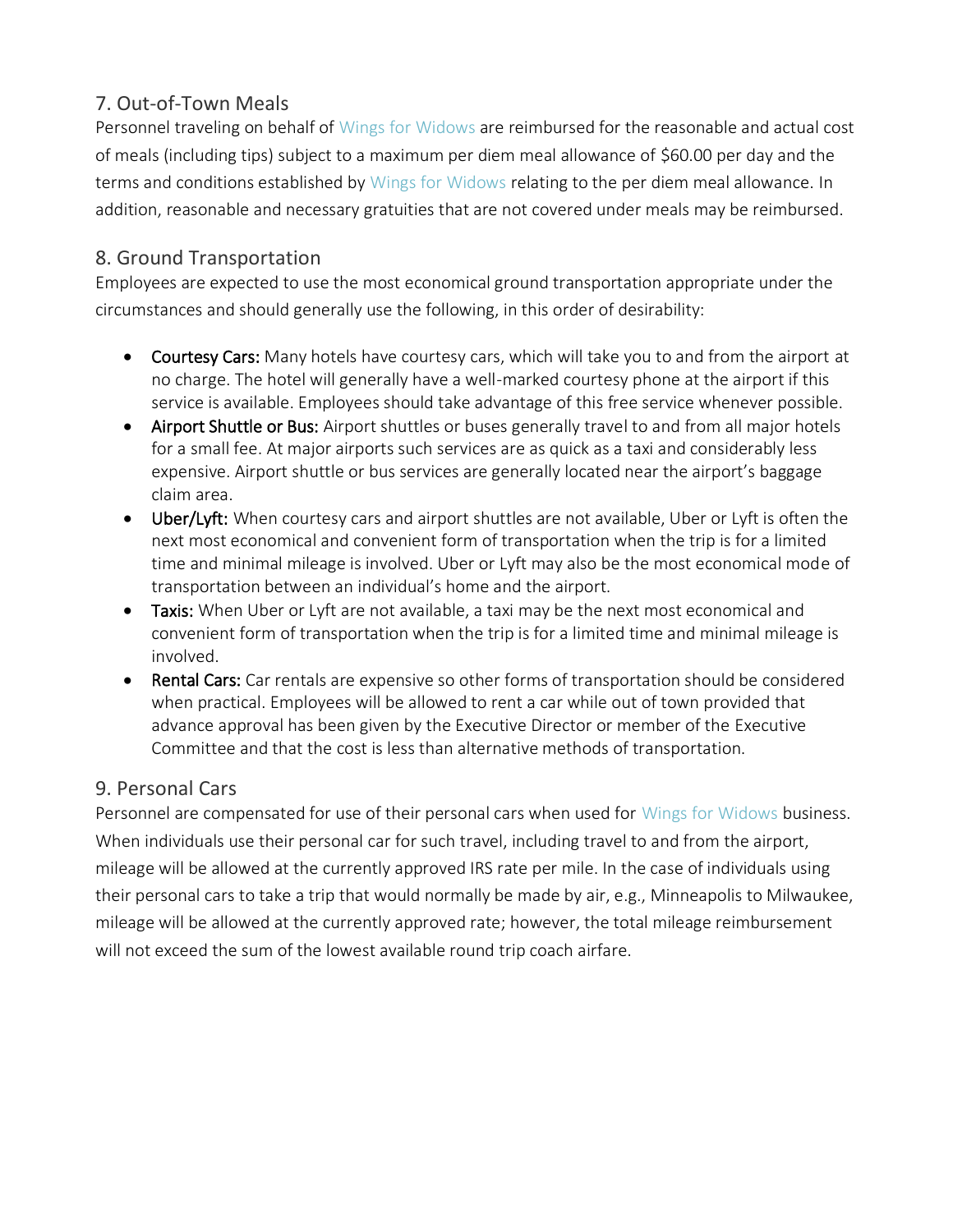## 7. Out-of-Town Meals

Personnel traveling on behalf of Wings for Widows are reimbursed for the reasonable and actual cost of meals (including tips) subject to a maximum per diem meal allowance of \$60.00 per day and the terms and conditions established by Wings for Widows relating to the per diem meal allowance. In addition, reasonable and necessary gratuities that are not covered under meals may be reimbursed.

## 8. Ground Transportation

Employees are expected to use the most economical ground transportation appropriate under the circumstances and should generally use the following, in this order of desirability:

- Courtesy Cars: Many hotels have courtesy cars, which will take you to and from the airport at no charge. The hotel will generally have a well-marked courtesy phone at the airport if this service is available. Employees should take advantage of this free service whenever possible.
- Airport Shuttle or Bus: Airport shuttles or buses generally travel to and from all major hotels for a small fee. At major airports such services are as quick as a taxi and considerably less expensive. Airport shuttle or bus services are generally located near the airport's baggage claim area.
- Uber/Lyft: When courtesy cars and airport shuttles are not available, Uber or Lyft is often the next most economical and convenient form of transportation when the trip is for a limited time and minimal mileage is involved. Uber or Lyft may also be the most economical mode of transportation between an individual's home and the airport.
- Taxis: When Uber or Lyft are not available, a taxi may be the next most economical and convenient form of transportation when the trip is for a limited time and minimal mileage is involved.
- Rental Cars: Car rentals are expensive so other forms of transportation should be considered when practical. Employees will be allowed to rent a car while out of town provided that advance approval has been given by the Executive Director or member of the Executive Committee and that the cost is less than alternative methods of transportation.

## 9. Personal Cars

Personnel are compensated for use of their personal cars when used for Wings for Widows business. When individuals use their personal car for such travel, including travel to and from the airport, mileage will be allowed at the currently approved IRS rate per mile. In the case of individuals using their personal cars to take a trip that would normally be made by air, e.g., Minneapolis to Milwaukee, mileage will be allowed at the currently approved rate; however, the total mileage reimbursement will not exceed the sum of the lowest available round trip coach airfare.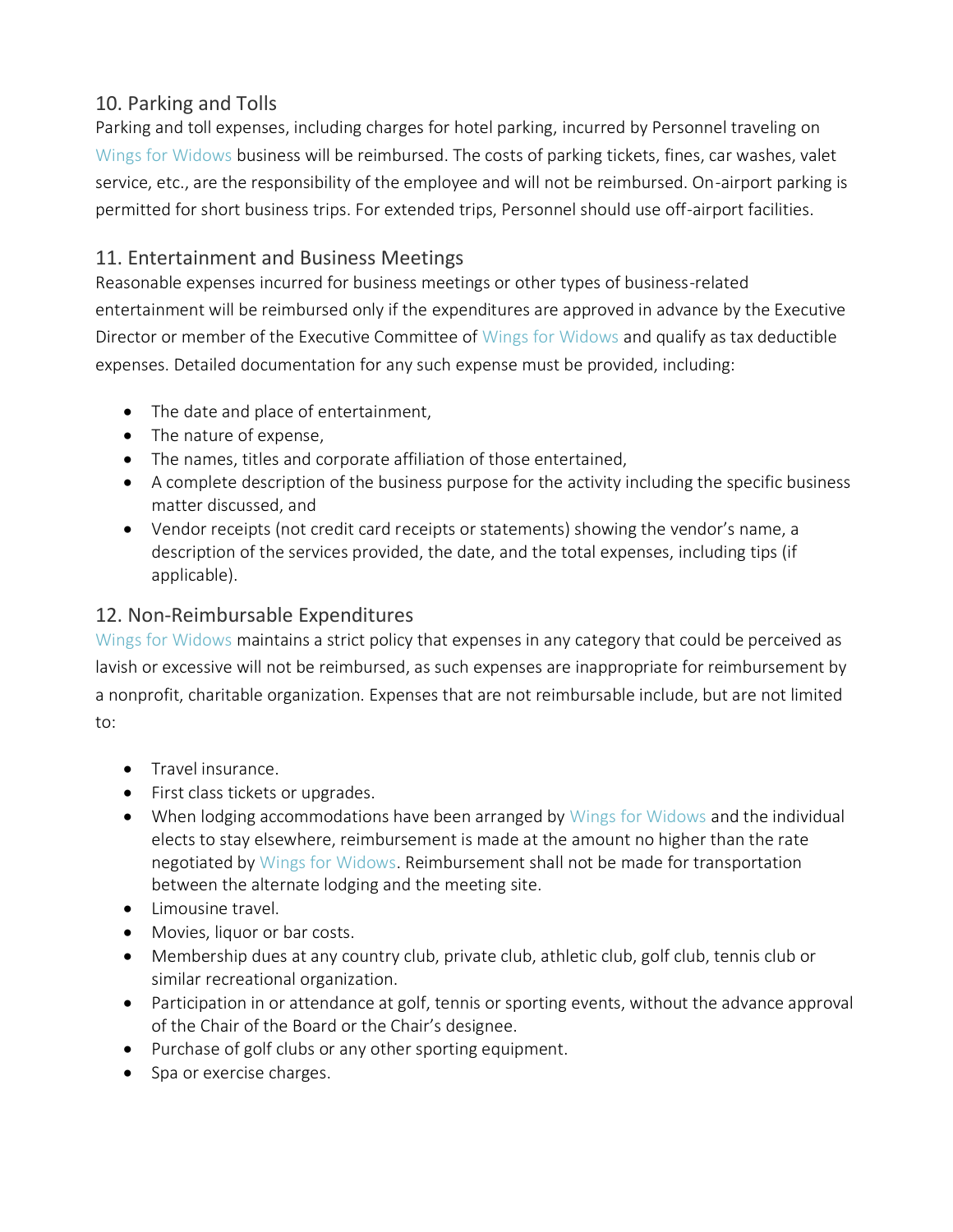## 10. Parking and Tolls

Parking and toll expenses, including charges for hotel parking, incurred by Personnel traveling on Wings for Widows business will be reimbursed. The costs of parking tickets, fines, car washes, valet service, etc., are the responsibility of the employee and will not be reimbursed. On-airport parking is permitted for short business trips. For extended trips, Personnel should use off-airport facilities.

### 11. Entertainment and Business Meetings

Reasonable expenses incurred for business meetings or other types of business-related entertainment will be reimbursed only if the expenditures are approved in advance by the Executive Director or member of the Executive Committee of Wings for Widows and qualify as tax deductible expenses. Detailed documentation for any such expense must be provided, including:

- The date and place of entertainment,
- The nature of expense,
- The names, titles and corporate affiliation of those entertained,
- A complete description of the business purpose for the activity including the specific business matter discussed, and
- Vendor receipts (not credit card receipts or statements) showing the vendor's name, a description of the services provided, the date, and the total expenses, including tips (if applicable).

#### 12. Non-Reimbursable Expenditures

Wings for Widows maintains a strict policy that expenses in any category that could be perceived as lavish or excessive will not be reimbursed, as such expenses are inappropriate for reimbursement by a nonprofit, charitable organization. Expenses that are not reimbursable include, but are not limited to:

- Travel insurance.
- First class tickets or upgrades.
- When lodging accommodations have been arranged by Wings for Widows and the individual elects to stay elsewhere, reimbursement is made at the amount no higher than the rate negotiated by Wings for Widows. Reimbursement shall not be made for transportation between the alternate lodging and the meeting site.
- Limousine travel.
- Movies, liquor or bar costs.
- Membership dues at any country club, private club, athletic club, golf club, tennis club or similar recreational organization.
- Participation in or attendance at golf, tennis or sporting events, without the advance approval of the Chair of the Board or the Chair's designee.
- Purchase of golf clubs or any other sporting equipment.
- Spa or exercise charges.